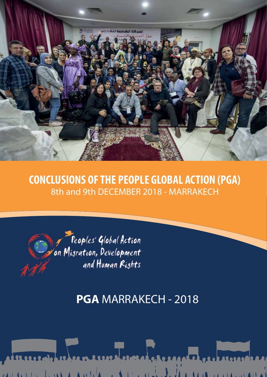

## **CONCLUSIONS OF THE PEOPLE GLOBAL ACTION (PGA)** 8th and 9th DECEMBER 2018 - MARRAKECH



# **PGA** MARRAKECH - 2018

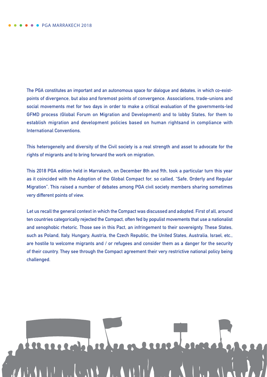**The PGA constitutes an important and an autonomous space for dialogue and debates, in which co-existpoints of divergence, but also and foremost points of convergence. Associations, trade-unions and social movements met for two days in order to make a critical evaluation of the governments-led GFMD process (Global Forum on Migration and Development) and to lobby States, for them to establish migration and development policies based on human rightsand in compliance with International Conventions.**

**This heterogeneity and diversity of the Civil society is a real strength and asset to advocate for the rights of migrants and to bring forward the work on migration.** 

**This 2018 PGA edition held in Marrakech, on December 8th and 9th, took a particular turn this year as it coincided with the Adoption of the Global Compact for, so called, "Safe, Orderly and Regular Migration". This raised a number of debates among PGA civil society members sharing sometimes very different points of view.** 

**Let us recall the general context in which the Compact was discussed and adopted. First of all, around ten countries categorically rejected the Compact, often fed by populist movements that use a nationalist and xenophobic rhetoric. Those see in this Pact, an infringement to their sovereignty. These States, such as Poland, Italy, Hungary, Austria, the Czech Republic, the United States, Australia, Israel, etc., are hostile to welcome migrants and / or refugees and consider them as a danger for the security of their country. They see through the Compact agreement their very restrictive national policy being challenged.**

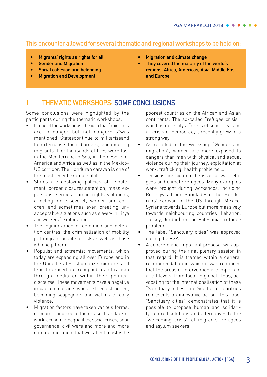### **This encounter allowed for several thematic and regional workshops to be held on:**

- **• Migrants' rights as rights for all**
- **• Gender and Migration**
- **• Social cohesion and belonging**
- **• Migration and Development**
- **• Migration and climate change**
- **• They covered the majority of the world´s regions: Africa, Americas, Asia, Middle East and Europe**

## **1. THEMATIC WORKSHOPS: SOME CONCLUSIONS**

Some conclusions were highlighted by the participants during the thematic workshops:

- In one of the workshops, the idea that "migrants" are in danger but not dangerous"was mentioned. Statescontinue to militariseand to externalise their borders, endangering migrants' life: thousands of lives were lost in the Mediterranean Sea, in the deserts of America and Africa as well as in the Mexico-US corridor. The Honduran caravan is one of the most recent example of it.
- States are deploying policies of refoulement, border closures,detention, mass expulsions, serious human rights violations, affecting more severely women and children, and sometimes even creating unacceptable situations such as slavery in Libya and workers´ exploitation.
- The legitimization of detention and detention centres, the criminalization of mobility put migrant people at risk as well as those who help them .
- Populist and extremist movements, which today are expanding all over Europe and in the United States, stigmatize migrants and tend to exacerbate xenophobia and racism through media or within their political discourse. These movements have a negative impact on migrants who are then ostracized, becoming scapegoats and victims of daily violence.
- Migration factors have taken various forms: economic and social factors such as lack of work, economic inequalities, social crises, poor governance, civil wars and more and more climate migration, that will affect mostly the

poorest countries on the African and Asian continents. The so-called "refugee crisis", which is in reality a "crisis of solidarity" and a "crisis of democracy", recently grew in a strong way.

- As recalled in the workshop "Gender and migration", women are more exposed to dangers than men with physical and sexual violence during their journey, exploitation at work, trafficking, health problems …
- Tensions are high on the issue of war refugees and climate refugees. Many examples were brought during workshops, including Rohingyas from Bangladesh; the Hondurans' caravan to the US through Mexico, Syrians towards Europe but more massively towards neighbouring countries (Lebanon, Turkey, Jordan); or the Palestinian refugee problem.
- The label "Sanctuary cities" was approved during the PGA.
- A concrete and important proposal was approved during the final plenary session in that regard. It is framed within a general recommendation in which it was reminded that the areas of intervention are important at all levels, from local to global. Thus, advocating for the internationalisation of these "Sanctuary cities" in Southern countries represents an innovative action. This label "Sanctuary cities" demonstrates that it is possible to propose human and solidarity centred solutions and alternatives to the "welcoming crisis" of migrants, refugees and asylum seekers.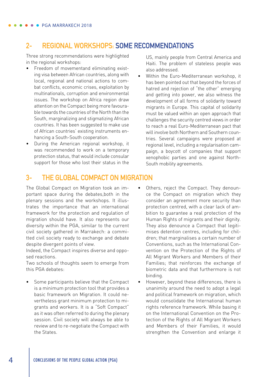#### **2- REGIONAL WORKSHOPS: SOME RECOMMENDATIONS**

Three strong recommendations were highlighted in the regional workshops:

- Freedom of movementand eliminating existing visa between African countries, along with local, regional and national actions to combat conflicts, economic crises, exploitation by multinationals, corruption and environmental issues. The workshop on Africa region draw attention on the Compact being more favourable towards the countries of the North than the South, marginalizing and stigmatizing African countries. It has been suggested to make use of African countries' existing instruments enhancing a South-South cooperation.
- During the American regional workshop, it was recommended to work on a temporary protection status, that would include consular support for those who lost their status in the

US, mainly people from Central America and Haiti. The problem of stateless people was also addressed.

• Within the Euro-Mediterranean workshop, it has been pointed out that beyond the forces of hatred and rejection of "the other" emerging and getting into power, we also witness the development of all forms of solidarity toward migrants in Europe. This capital of solidarity must be valued within an open approach that challenges the security centred views in order to reach a real Euro-Mediterranean pact that will involve both Northern and Southern countries. Several campaigns were proposed at regional level, including a regularisation campaign, a boycott of companies that support xenophobic parties and one against North-South mobility agreements.

#### **3- THE GLOBAL COMPACT ON MIGRATION**

The Global Compact on Migration took an important space during the debates,both in the plenary sessions and the workshops. It illustrates the importance that an international framework for the protection and regulation of migration should have. It also represents our diversity within the PGA, similar to the current civil society gathered in Marrakech: a committed civil society ready to exchange and debate despite divergent points of view.

Indeed, the Compact inspires diverse and opposed reactions.

Two schools of thoughts seem to emerge from this PGA debates:

- Some participants believe that the Compact is a minimum protection tool that provides a basic framework on Migration. It could nevertheless grant minimum protection to migrants and workers. It is a "Soft Compact" as it was often referred to during the plenary session. Civil society will always be able to review and to re-negotiate the Compact with the States.
- Others, reject the Compact. They denounce the Compact on migration which they consider an agreement more security than protection centred, with a clear lack of ambition to guarantee a real protection of the Human Rights of migrants and their dignity. They also denounce a Compact that legitimises detention centres, including for children; that marginalises a certain number of Conventions, such as the International Convention on the Protection of the Rights of All Migrant Workers and Members of their Families; that reinforces the exchange of biometric data and that furthermore is not binding.
- However, beyond these differences, there is unanimity around the need to adopt a legal and political framework on migration, which would consolidate the International human rights reference framework. While basing it on the International Convention on the Protection of the Rights of All Migrant Workers and Members of their Families, it would strengthen the Convention and enlarge it